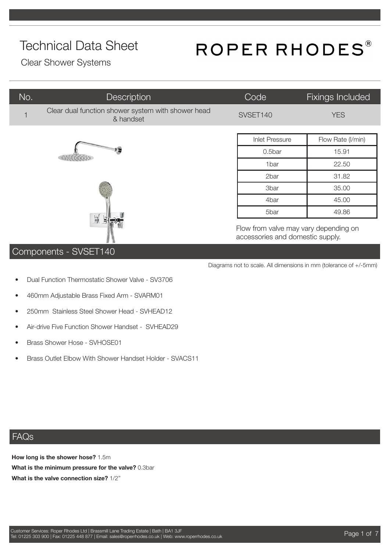# ROPER RHODES®

Diagrams not to scale. All dimensions in mm (tolerance of +/-5mm)

accessories and domestic supply.

Clear Shower Systems

| No. | Description                                                     | Code                                  | Fixings Included  |
|-----|-----------------------------------------------------------------|---------------------------------------|-------------------|
|     | Clear dual function shower system with shower head<br>& handset | SVSET140                              | <b>YES</b>        |
|     |                                                                 | <b>Inlet Pressure</b>                 | Flow Rate (I/min) |
|     |                                                                 | 0.5bar                                | 15.91             |
|     |                                                                 | 1bar                                  | 22.50             |
|     |                                                                 | 2bar                                  | 31.82             |
|     |                                                                 | 3bar                                  | 35.00             |
|     |                                                                 | 4bar                                  | 45.00             |
|     |                                                                 | 5bar                                  | 49.86             |
|     | $\Rightarrow$                                                   | Flow from valve may vary depending on |                   |

#### Components - SVSET140

- Dual Function Thermostatic Shower Valve SV3706
- 460mm Adjustable Brass Fixed Arm SVARM01
- 250mm Stainless Steel Shower Head SVHEAD12
- Air-drive Five Function Shower Handset SVHEAD29
- Brass Shower Hose SVHOSE01
- Brass Outlet Elbow With Shower Handset Holder SVACS11

#### FAQs

**How long is the shower hose?** 1.5m **What is the minimum pressure for the valve?** 0.3bar **What is the valve connection size?** 1/2''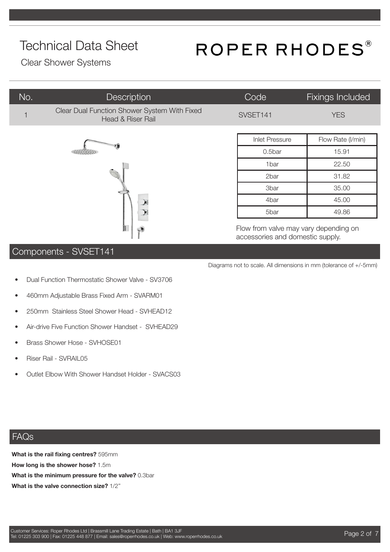# ROPER RHODES®

Clear Shower Systems

| No. | Description                                                                  | Code                  | <b>Fixings Included</b> |
|-----|------------------------------------------------------------------------------|-----------------------|-------------------------|
|     | Clear Dual Function Shower System With Fixed<br><b>Head &amp; Riser Rail</b> | SVSET141              | <b>YES</b>              |
|     |                                                                              | <b>Inlet Pressure</b> | Flow Rate (I/min)       |
|     |                                                                              | 0.5bar                | 15.91                   |
|     |                                                                              | 1bar                  | 22.50                   |
|     |                                                                              | 2bar                  | 31.82                   |
|     |                                                                              | 3bar                  | 35.00                   |
|     |                                                                              | 4bar                  | 45.00                   |
|     |                                                                              | 5bar                  | 49.86                   |

Flow from valve may vary depending on accessories and domestic supply.

Diagrams not to scale. All dimensions in mm (tolerance of +/-5mm)

#### Components - SVSET141

- Dual Function Thermostatic Shower Valve SV3706
- 460mm Adjustable Brass Fixed Arm SVARM01
- 250mm Stainless Steel Shower Head SVHEAD12
- Air-drive Five Function Shower Handset SVHEAD29
- Brass Shower Hose SVHOSE01
- Riser Rail SVRAIL05
- Outlet Elbow With Shower Handset Holder SVACS03

#### FAQs

**What is the rail fixing centres?** 595mm **How long is the shower hose?** 1.5m **What is the minimum pressure for the valve?** 0.3bar **What is the valve connection size?** 1/2''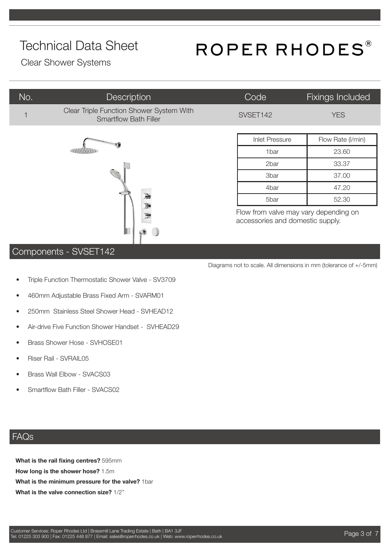# ROPER RHODES®

Diagrams not to scale. All dimensions in mm (tolerance of +/-5mm)

Clear Shower Systems

| No.           | <b>Description</b>                                                       | Code                                                                      | Fixings Included  |
|---------------|--------------------------------------------------------------------------|---------------------------------------------------------------------------|-------------------|
|               | Clear Triple Function Shower System With<br><b>Smartflow Bath Filler</b> | SVSET142                                                                  | <b>YES</b>        |
|               |                                                                          | <b>Inlet Pressure</b>                                                     | Flow Rate (I/min) |
|               |                                                                          | 1 <sub>bar</sub>                                                          | 23.60             |
|               |                                                                          | 2bar                                                                      | 33.37             |
|               |                                                                          | <b>3bar</b>                                                               | 37.00             |
|               |                                                                          | 4bar                                                                      | 47.20             |
|               | 豌<br>頭                                                                   | 5bar                                                                      | 52.30             |
| $\frac{1}{2}$ |                                                                          | Flow from valve may vary depending on<br>accessories and domestic supply. |                   |

 $\overline{u}$ 

#### Components - SVSET142

- Triple Function Thermostatic Shower Valve SV3709
- 460mm Adjustable Brass Fixed Arm SVARM01
- 250mm Stainless Steel Shower Head SVHEAD12
- Air-drive Five Function Shower Handset SVHEAD29
- Brass Shower Hose SVHOSE01
- Riser Rail SVRAIL05
- Brass Wall Elbow SVACS03
- Smartflow Bath Filler SVACS02

#### FAQs

**What is the rail fixing centres?** 595mm **How long is the shower hose?** 1.5m **What is the minimum pressure for the valve?** 1bar **What is the valve connection size?** 1/2''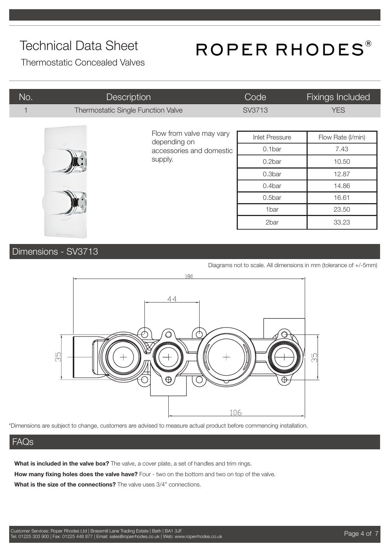# ROPER RHODES®

Thermostatic Concealed Valves

| No.          | <b>Description</b>                 |                                          | Code                  | <b>Fixings Included</b> |
|--------------|------------------------------------|------------------------------------------|-----------------------|-------------------------|
| $\mathbf{1}$ | Thermostatic Single Function Valve |                                          | SV3713                | <b>YES</b>              |
|              |                                    | Flow from valve may vary<br>depending on |                       |                         |
|              |                                    |                                          | <b>Inlet Pressure</b> | Flow Rate (I/min)       |
|              |                                    | accessories and domestic                 | 0.1bar                | 7.43                    |
|              |                                    | supply.                                  | 0.2bar                | 10.50                   |
|              |                                    |                                          | 0.3bar                | 12.87                   |
|              |                                    | 0.4bar                                   | 14.86                 |                         |
|              |                                    |                                          | 0.5bar                | 16.61                   |
|              |                                    |                                          | 1bar                  | 23.50                   |
|              |                                    |                                          | 2bar                  | 33.23                   |

### Dimensions - SV3713

Diagrams not to scale. All dimensions in mm (tolerance of +/-5mm)



\*Dimensions are subject to change, customers are advised to measure actual product before commencing installation.

#### FAQs

What is included in the valve box? The valve, a cover plate, a set of handles and trim rings.

**How many fixing holes does the valve have?** Four - two on the bottom and two on top of the valve.

**What is the size of the connections?** The valve uses 3/4" connections.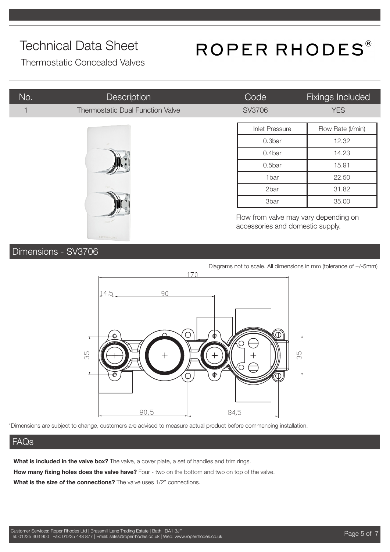# ROPER RHODES®

Thermostatic Concealed Valves

| No. | <b>Description</b>                      | Code                                                                      | <b>Fixings Included</b> |
|-----|-----------------------------------------|---------------------------------------------------------------------------|-------------------------|
|     | <b>Thermostatic Dual Function Valve</b> | SV3706                                                                    | <b>YES</b>              |
|     |                                         | <b>Inlet Pressure</b>                                                     | Flow Rate (I/min)       |
|     |                                         | 0.3bar                                                                    | 12.32                   |
|     |                                         | 0.4bar                                                                    | 14.23                   |
|     |                                         | 0.5bar                                                                    | 15.91                   |
|     |                                         | 1bar                                                                      | 22.50                   |
|     |                                         | 2bar                                                                      | 31.82                   |
|     |                                         | 3bar                                                                      | 35.00                   |
|     |                                         | Flow from valve may vary depending on<br>accessories and domestic supply. |                         |

#### Dimensions - SV3706

Diagrams not to scale. All dimensions in mm (tolerance of +/-5mm)170 14.5 90 ◯ lo<br>M m<br>S G 80,5 84,5

\*Dimensions are subject to change, customers are advised to measure actual product before commencing installation.

#### FAQs

**What is included in the valve box?** The valve, a cover plate, a set of handles and trim rings.

**How many fixing holes does the valve have?** Four - two on the bottom and two on top of the valve.

**What is the size of the connections?** The valve uses 1/2" connections.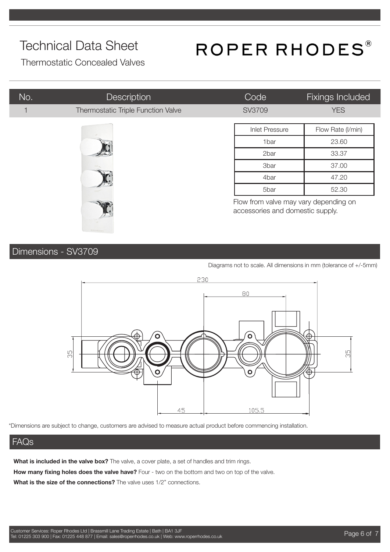# ROPER RHODES®

Thermostatic Concealed Valves

| No. | Description                        | Code                  | Fixings Included                                                          |  |
|-----|------------------------------------|-----------------------|---------------------------------------------------------------------------|--|
|     | Thermostatic Triple Function Valve | SV3709                | <b>YES</b>                                                                |  |
|     |                                    | <b>Inlet Pressure</b> | Flow Rate (I/min)                                                         |  |
|     |                                    | 1bar                  | 23.60                                                                     |  |
|     |                                    | 2bar                  | 33.37                                                                     |  |
|     |                                    | <b>3bar</b>           | 37.00                                                                     |  |
|     |                                    | 4bar                  | 47.20                                                                     |  |
|     | 5bar                               | 52.30                 |                                                                           |  |
|     |                                    |                       | Flow from valve may vary depending on<br>accessories and domestic supply. |  |

### Dimensions - SV3709

Diagrams not to scale. All dimensions in mm (tolerance of +/-5mm)



\*Dimensions are subject to change, customers are advised to measure actual product before commencing installation.

#### FAQs

**What is included in the valve box?** The valve, a cover plate, a set of handles and trim rings. **How many fixing holes does the valve have?** Four - two on the bottom and two on top of the valve.

**What is the size of the connections?** The valve uses 1/2" connections.